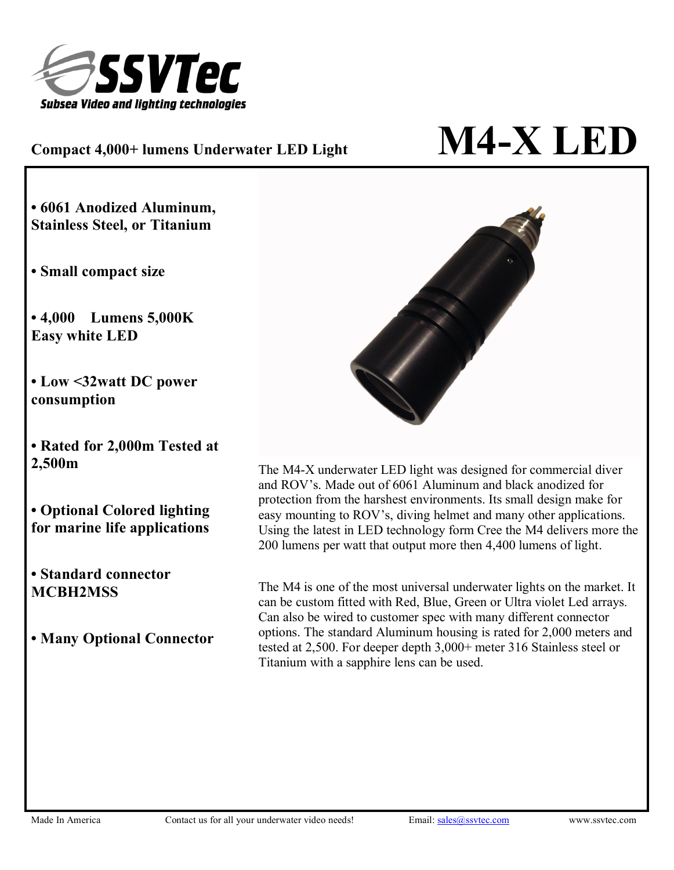

## $\mathbf{M}$  **Compact** 4,000+ lumens Underwater LED Light  $\mathbf{M}$  **M4-X**  $\mathbf{LED}$

**• 6061 Anodized Aluminum, Stainless Steel, or Titanium**

**• Small compact size**

**• 4,000 Lumens 5,000K Easy white LED**

**• Low <32watt DC power consumption**

**• Rated for 2,000m Tested at 2,500m**

**• Optional Colored lighting for marine life applications**

**• Standard connector MCBH2MSS**

**• Many Optional Connector**



The M4-X underwater LED light was designed for commercial diver and ROV's. Made out of 6061 Aluminum and black anodized for protection from the harshest environments. Its small design make for easy mounting to ROV's, diving helmet and many other applications. Using the latest in LED technology form Cree the M4 delivers more the 200 lumens per watt that output more then 4,400 lumens of light.

The M4 is one of the most universal underwater lights on the market. It can be custom fitted with Red, Blue, Green or Ultra violet Led arrays. Can also be wired to customer spec with many different connector options. The standard Aluminum housing is rated for 2,000 meters and tested at 2,500. For deeper depth 3,000+ meter 316 Stainless steel or Titanium with a sapphire lens can be used.